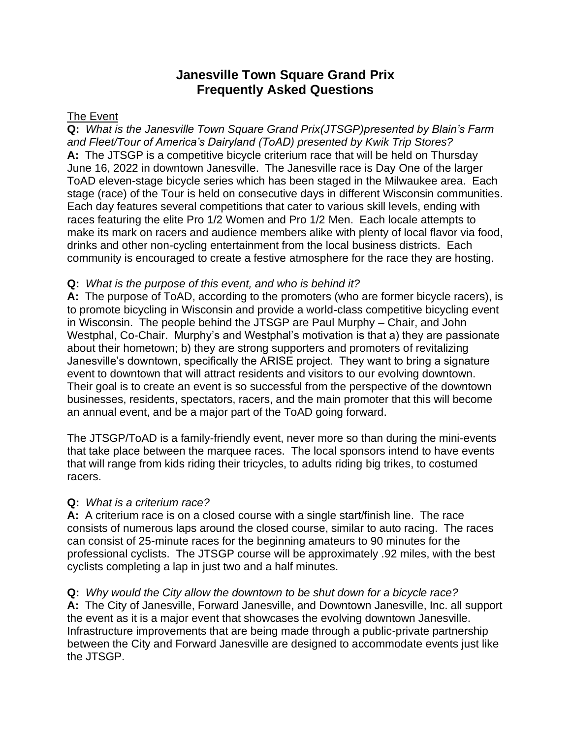# **Janesville Town Square Grand Prix Frequently Asked Questions**

### The Event

**Q:** *What is the Janesville Town Square Grand Prix(JTSGP)presented by Blain's Farm and Fleet/Tour of America's Dairyland (ToAD) presented by Kwik Trip Stores?* **A:** The JTSGP is a competitive bicycle criterium race that will be held on Thursday June 16, 2022 in downtown Janesville. The Janesville race is Day One of the larger ToAD eleven-stage bicycle series which has been staged in the Milwaukee area. Each stage (race) of the Tour is held on consecutive days in different Wisconsin communities. Each day features several competitions that cater to various skill levels, ending with races featuring the elite Pro 1/2 Women and Pro 1/2 Men. Each locale attempts to make its mark on racers and audience members alike with plenty of local flavor via food, drinks and other non-cycling entertainment from the local business districts. Each community is encouraged to create a festive atmosphere for the race they are hosting.

### **Q:** *What is the purpose of this event, and who is behind it?*

**A:** The purpose of ToAD, according to the promoters (who are former bicycle racers), is to promote bicycling in Wisconsin and provide a world-class competitive bicycling event in Wisconsin. The people behind the JTSGP are Paul Murphy – Chair, and John Westphal, Co-Chair. Murphy's and Westphal's motivation is that a) they are passionate about their hometown; b) they are strong supporters and promoters of revitalizing Janesville's downtown, specifically the ARISE project. They want to bring a signature event to downtown that will attract residents and visitors to our evolving downtown. Their goal is to create an event is so successful from the perspective of the downtown businesses, residents, spectators, racers, and the main promoter that this will become an annual event, and be a major part of the ToAD going forward.

The JTSGP/ToAD is a family-friendly event, never more so than during the mini-events that take place between the marquee races. The local sponsors intend to have events that will range from kids riding their tricycles, to adults riding big trikes, to costumed racers.

### **Q:** *What is a criterium race?*

**A:** A criterium race is on a closed course with a single start/finish line. The race consists of numerous laps around the closed course, similar to auto racing. The races can consist of 25-minute races for the beginning amateurs to 90 minutes for the professional cyclists. The JTSGP course will be approximately .92 miles, with the best cyclists completing a lap in just two and a half minutes.

### **Q:** *Why would the City allow the downtown to be shut down for a bicycle race?*

**A:** The City of Janesville, Forward Janesville, and Downtown Janesville, Inc. all support the event as it is a major event that showcases the evolving downtown Janesville. Infrastructure improvements that are being made through a public-private partnership between the City and Forward Janesville are designed to accommodate events just like the JTSGP.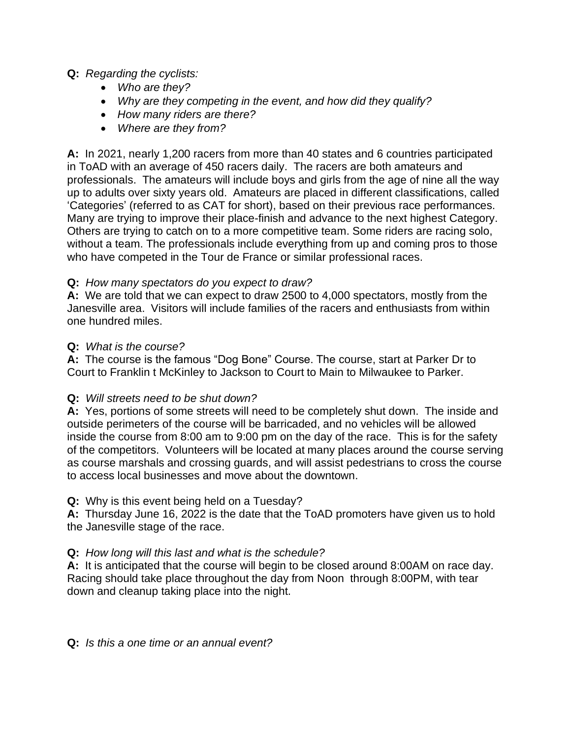### **Q:** *Regarding the cyclists:*

- *Who are they?*
- *Why are they competing in the event, and how did they qualify?*
- *How many riders are there?*
- *Where are they from?*

**A:** In 2021, nearly 1,200 racers from more than 40 states and 6 countries participated in ToAD with an average of 450 racers daily. The racers are both amateurs and professionals. The amateurs will include boys and girls from the age of nine all the way up to adults over sixty years old. Amateurs are placed in different classifications, called 'Categories' (referred to as CAT for short), based on their previous race performances. Many are trying to improve their place-finish and advance to the next highest Category. Others are trying to catch on to a more competitive team. Some riders are racing solo, without a team. The professionals include everything from up and coming pros to those who have competed in the Tour de France or similar professional races.

### **Q:** *How many spectators do you expect to draw?*

**A:** We are told that we can expect to draw 2500 to 4,000 spectators, mostly from the Janesville area. Visitors will include families of the racers and enthusiasts from within one hundred miles.

#### **Q:** *What is the course?*

**A:** The course is the famous "Dog Bone" Course. The course, start at Parker Dr to Court to Franklin t McKinley to Jackson to Court to Main to Milwaukee to Parker.

### **Q:** *Will streets need to be shut down?*

**A:** Yes, portions of some streets will need to be completely shut down. The inside and outside perimeters of the course will be barricaded, and no vehicles will be allowed inside the course from 8:00 am to 9:00 pm on the day of the race. This is for the safety of the competitors. Volunteers will be located at many places around the course serving as course marshals and crossing guards, and will assist pedestrians to cross the course to access local businesses and move about the downtown.

### **Q:** Why is this event being held on a Tuesday?

**A:** Thursday June 16, 2022 is the date that the ToAD promoters have given us to hold the Janesville stage of the race.

### **Q:** *How long will this last and what is the schedule?*

**A:** It is anticipated that the course will begin to be closed around 8:00AM on race day. Racing should take place throughout the day from Noon through 8:00PM, with tear down and cleanup taking place into the night.

**Q:** *Is this a one time or an annual event?*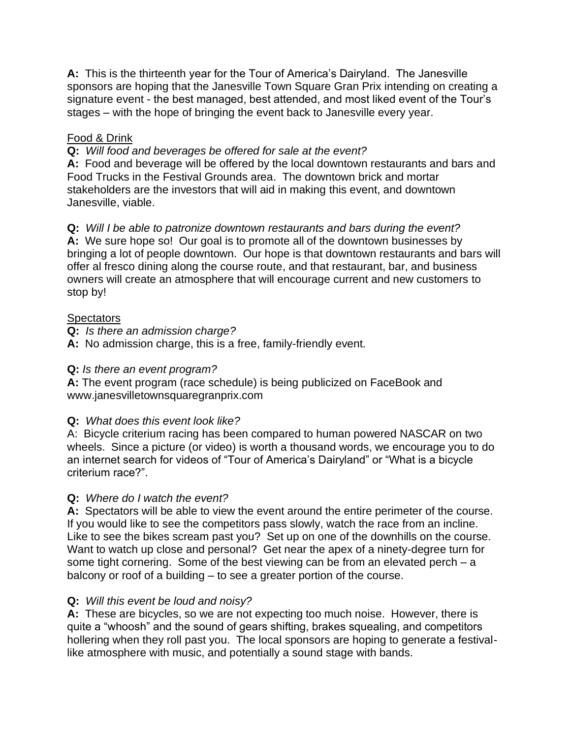**A:** This is the thirteenth year for the Tour of America's Dairyland. The Janesville sponsors are hoping that the Janesville Town Square Gran Prix intending on creating a signature event - the best managed, best attended, and most liked event of the Tour's stages – with the hope of bringing the event back to Janesville every year.

### Food & Drink

**Q:** *Will food and beverages be offered for sale at the event?*

**A:** Food and beverage will be offered by the local downtown restaurants and bars and Food Trucks in the Festival Grounds area. The downtown brick and mortar stakeholders are the investors that will aid in making this event, and downtown Janesville, viable.

**Q:** *Will I be able to patronize downtown restaurants and bars during the event?* **A:** We sure hope so! Our goal is to promote all of the downtown businesses by bringing a lot of people downtown. Our hope is that downtown restaurants and bars will offer al fresco dining along the course route, and that restaurant, bar, and business owners will create an atmosphere that will encourage current and new customers to stop by!

### **Spectators**

**Q:** *Is there an admission charge?*

**A:** No admission charge, this is a free, family-friendly event.

## **Q:** *Is there an event program?*

**A:** The event program (race schedule) is being publicized on FaceBook and www.janesvilletownsquaregranprix.com

### **Q:** *What does this event look like?*

A: Bicycle criterium racing has been compared to human powered NASCAR on two wheels. Since a picture (or video) is worth a thousand words, we encourage you to do an internet search for videos of "Tour of America's Dairyland" or "What is a bicycle criterium race?".

## **Q:** *Where do I watch the event?*

**A:** Spectators will be able to view the event around the entire perimeter of the course. If you would like to see the competitors pass slowly, watch the race from an incline. Like to see the bikes scream past you? Set up on one of the downhills on the course. Want to watch up close and personal? Get near the apex of a ninety-degree turn for some tight cornering. Some of the best viewing can be from an elevated perch – a balcony or roof of a building – to see a greater portion of the course.

## **Q:** *Will this event be loud and noisy?*

**A:** These are bicycles, so we are not expecting too much noise. However, there is quite a "whoosh" and the sound of gears shifting, brakes squealing, and competitors hollering when they roll past you. The local sponsors are hoping to generate a festivallike atmosphere with music, and potentially a sound stage with bands.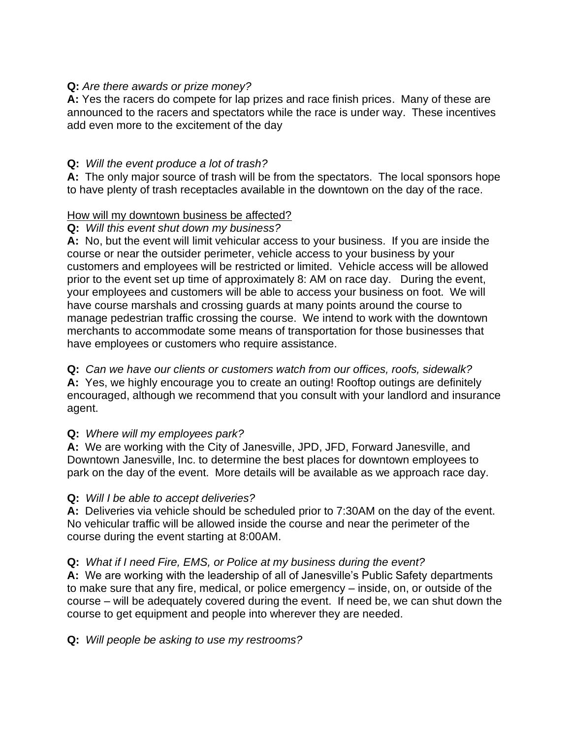### **Q:** *Are there awards or prize money?*

**A:** Yes the racers do compete for lap prizes and race finish prices. Many of these are announced to the racers and spectators while the race is under way. These incentives add even more to the excitement of the day

### **Q:** *Will the event produce a lot of trash?*

**A:** The only major source of trash will be from the spectators. The local sponsors hope to have plenty of trash receptacles available in the downtown on the day of the race.

### How will my downtown business be affected?

### **Q:** *Will this event shut down my business?*

**A:** No, but the event will limit vehicular access to your business. If you are inside the course or near the outsider perimeter, vehicle access to your business by your customers and employees will be restricted or limited. Vehicle access will be allowed prior to the event set up time of approximately 8: AM on race day. During the event, your employees and customers will be able to access your business on foot. We will have course marshals and crossing guards at many points around the course to manage pedestrian traffic crossing the course. We intend to work with the downtown merchants to accommodate some means of transportation for those businesses that have employees or customers who require assistance.

**Q:** *Can we have our clients or customers watch from our offices, roofs, sidewalk?* **A:** Yes, we highly encourage you to create an outing! Rooftop outings are definitely encouraged, although we recommend that you consult with your landlord and insurance agent.

### **Q:** *Where will my employees park?*

**A:** We are working with the City of Janesville, JPD, JFD, Forward Janesville, and Downtown Janesville, Inc. to determine the best places for downtown employees to park on the day of the event. More details will be available as we approach race day.

### **Q:** *Will I be able to accept deliveries?*

**A:** Deliveries via vehicle should be scheduled prior to 7:30AM on the day of the event. No vehicular traffic will be allowed inside the course and near the perimeter of the course during the event starting at 8:00AM.

### **Q:** *What if I need Fire, EMS, or Police at my business during the event?*

**A:** We are working with the leadership of all of Janesville's Public Safety departments to make sure that any fire, medical, or police emergency – inside, on, or outside of the course – will be adequately covered during the event. If need be, we can shut down the course to get equipment and people into wherever they are needed.

### **Q:** *Will people be asking to use my restrooms?*